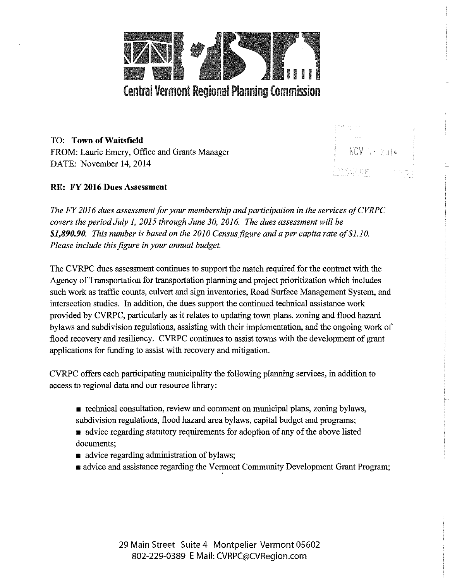

NOV 7 · 2014

TO: **Town of Waitsfield**  FROM: Laurie Emery, Office and Grants Manager DATE: November 14, 2014

## **RE: FY 2016 Dues Assessment**

*The FY 2016 dues assessment for your membership and participation in the services of CVRPC covers the period July 1, 2015 through June 30, 2016. The dues assessment will be \$1,890.90. This number is based on the 2010 Census figure and a per capita rate of\$1.10. Please include this figure in your annual budget.* 

The CVRPC dues assessment continues to support the match required for the contract with the Agency of Transportation for transportation planning and project prioritization which includes such work as traffic counts, culvert and sign inventories, Road Surface Management System, and intersection studies. In addition, the dues support the continued technical assistance work provided by CVRPC, particularly as it relates to updating town plans, zoning and flood hazard bylaws and subdivision regulations, assisting with their implementation, and the ongoing work of flood recovery and resiliency. CVRPC continues to assist towns with the development of grant applications for funding to assist with recovery and mitigation.

CVRPC offers each participating municipality the following planning services, in addition to access to regional data and our resource library:

- $\bullet$  technical consultation, review and comment on municipal plans, zoning bylaws, subdivision regulations, flood hazard area bylaws, capital budget and programs;
- advice regarding statutory requirements for adoption of any of the above listed documents;
- **•** advice regarding administration of bylaws;
- $\blacksquare$  advice and assistance regarding the Vermont Community Development Grant Program;